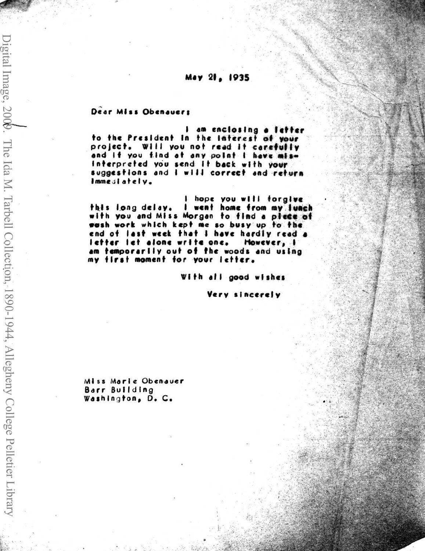## May 21, 1935

## Dear Miss Obenauers

I am enclosing a letter to the President in the interest of your project. Will you not read it carefully and if you find at any point I have misinterpreted you send it back with your suggestions and I will correct and return Immediately.

I hope you will forgive this long delay. I went home from my lunch with you and Miss Morgan to find a piece of wash work which kept me so busy up to the end of last week that I have hardly read a letter let alone write one. However, I am temporarily out of the woods and using my first moment for your letter.

With all good wishes

Very sincerely

Miss Marie Obenauer Barr Building Washington, D. C.

Digital Image, 2009. The Ida M. Tarbell Collection, 1890-1944, Allegheny College Pelletier Library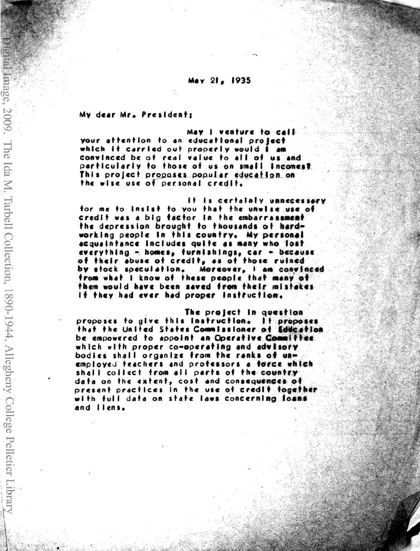## May 21, 1935

My dear Mr. President:

nage, 2009. The Ida M. Tarbell Collection, 1890-1944, Allegheny College Pelletier Library

May I venture to call your attention to an educational project which it carried out properly would I am convinced be of real value to all of us and particularly to those of us on small incomes? This project proposes popular education on the wise use of personal credit.

It is certainly unnecessary for me to insist to you that the unwise use of credit was a big factor in the embarrassment the depression brought to thousands of hardworking people in this country. My personal acquaintance includes quite as many who lost everything - homes, furnishings, car - because of their abuse of credit, as of those ruined by stock speculation. Morcover, I am convinced from what I know of these people that many of them would have been saved from their mistakes If they had ever had proper instruction.

The project in question proposes to give this instruction. It proposes that the United States Commissioner of Eddcation be empowered to appoint an Operative Committee which with proper comporating and advisory bodies shall organize from the ranks of unemployed teachers and professors a force which shall collect from all parts of the country data on the extent, cost and consequences of present practices in the use of credit fogether with full data on state laws concerning loans and liens.